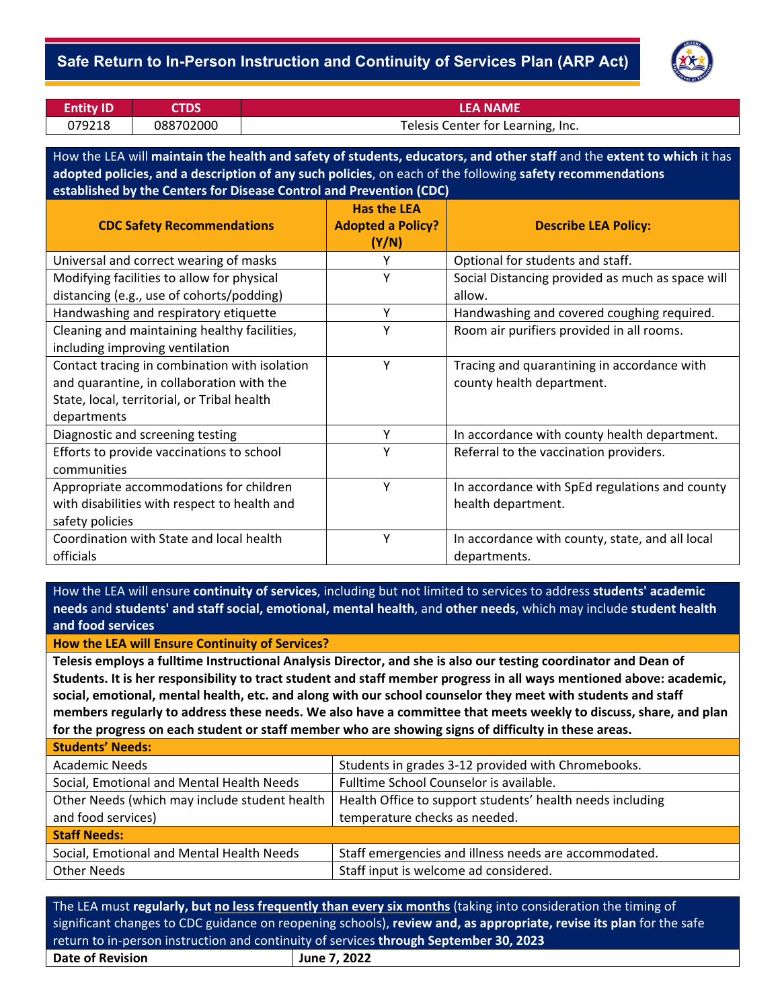### ‐ **Safe Return to In-Person Instruction and Continuity of Services Plan (ARP Act)**



| <b>Entity ID</b> | CTDS      | 'LEA NAME.                        |
|------------------|-----------|-----------------------------------|
| 079218           | 088702000 | Telesis Center for Learning, Inc. |

How the LEA will **maintain the health and safety of students, educators, and other staff** and the **extent to which** it has **adopted policies, and a description of any such policies**, on each of the following **safety recommendations established by the Centers for Disease Control and Prevention (CDC)**

| <b>CDC Safety Recommendations</b>             | <b>Has the LEA</b><br><b>Adopted a Policy?</b><br>(Y/N) | <b>Describe LEA Policy:</b>                      |
|-----------------------------------------------|---------------------------------------------------------|--------------------------------------------------|
| Universal and correct wearing of masks        | Υ                                                       | Optional for students and staff.                 |
| Modifying facilities to allow for physical    | Υ                                                       | Social Distancing provided as much as space will |
| distancing (e.g., use of cohorts/podding)     |                                                         | allow.                                           |
| Handwashing and respiratory etiquette         | Υ                                                       | Handwashing and covered coughing required.       |
| Cleaning and maintaining healthy facilities,  | γ                                                       | Room air purifiers provided in all rooms.        |
| including improving ventilation               |                                                         |                                                  |
| Contact tracing in combination with isolation | Υ                                                       | Tracing and quarantining in accordance with      |
| and quarantine, in collaboration with the     |                                                         | county health department.                        |
| State, local, territorial, or Tribal health   |                                                         |                                                  |
| departments                                   |                                                         |                                                  |
| Diagnostic and screening testing              | Υ                                                       | In accordance with county health department.     |
| Efforts to provide vaccinations to school     | Y                                                       | Referral to the vaccination providers.           |
| communities                                   |                                                         |                                                  |
| Appropriate accommodations for children       | γ                                                       | In accordance with SpEd regulations and county   |
| with disabilities with respect to health and  |                                                         | health department.                               |
| safety policies                               |                                                         |                                                  |
| Coordination with State and local health      | Υ                                                       | In accordance with county, state, and all local  |
| officials                                     |                                                         | departments.                                     |

How the LEA will ensure **continuity of services**, including but not limited to services to address **students' academic needs** and **students' and staff social, emotional, mental health**, and **other needs**, which may include **student health and food services**

**How the LEA will Ensure Continuity of Services?**

Telesis employs a fulltime Instructional Analysis Director, and she is also our testing coordinator and Dean of Students. It is her responsibility to tract student and staff member progress in all ways mentioned above: academic, social, emotional, mental health, etc. and along with our school counselor they meet with students and staff members regularly to address these needs. We also have a committee that meets weekly to discuss, share, and plan for the progress on each student or staff member who are showing signs of difficulty in these areas.

| <b>Students' Needs:</b>                       |                                                           |  |  |  |
|-----------------------------------------------|-----------------------------------------------------------|--|--|--|
| Academic Needs                                | Students in grades 3-12 provided with Chromebooks.        |  |  |  |
| Social, Emotional and Mental Health Needs     | Fulltime School Counselor is available.                   |  |  |  |
| Other Needs (which may include student health | Health Office to support students' health needs including |  |  |  |
| and food services)                            | temperature checks as needed.                             |  |  |  |
| <b>Staff Needs:</b>                           |                                                           |  |  |  |
| Social, Emotional and Mental Health Needs     | Staff emergencies and illness needs are accommodated.     |  |  |  |
| <b>Other Needs</b>                            | Staff input is welcome ad considered.                     |  |  |  |
|                                               |                                                           |  |  |  |

The LEA must **regularly, but no less frequently than every six months** (taking into consideration the timing of significant changes to CDC guidance on reopening schools), **review and, as appropriate, revise its plan** for the safe return to in‐person instruction and continuity of services **through September 30, 2023 Date of Revision June 7, 2022**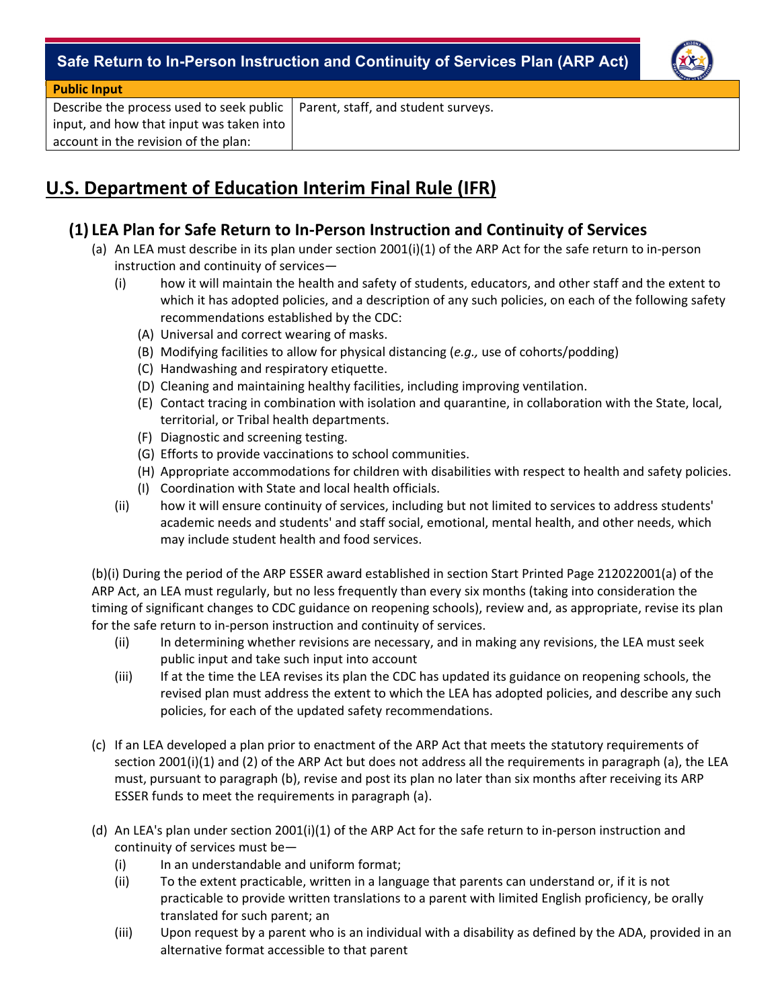## ‐ **Safe Return to In-Person Instruction and Continuity of Services Plan (ARP Act)**



#### **Public Input**

Describe the process used to seek public input, and how that input was taken into account in the revision of the plan:

Parent, staff, and student surveys.

# **U.S. Department of Education Interim Final Rule (IFR)**

## **(1) LEA Plan for Safe Return to In‐Person Instruction and Continuity of Services**

- (a) An LEA must describe in its plan under section 2001(i)(1) of the ARP Act for the safe return to in‐person instruction and continuity of services—
	- (i) how it will maintain the health and safety of students, educators, and other staff and the extent to which it has adopted policies, and a description of any such policies, on each of the following safety recommendations established by the CDC:
		- (A) Universal and correct wearing of masks.
		- (B) Modifying facilities to allow for physical distancing (*e.g.,* use of cohorts/podding)
		- (C) Handwashing and respiratory etiquette.
		- (D) Cleaning and maintaining healthy facilities, including improving ventilation.
		- (E) Contact tracing in combination with isolation and quarantine, in collaboration with the State, local, territorial, or Tribal health departments.
		- (F) Diagnostic and screening testing.
		- (G) Efforts to provide vaccinations to school communities.
		- (H) Appropriate accommodations for children with disabilities with respect to health and safety policies.
		- (I) Coordination with State and local health officials.
	- (ii) how it will ensure continuity of services, including but not limited to services to address students' academic needs and students' and staff social, emotional, mental health, and other needs, which may include student health and food services.

(b)(i) During the period of the ARP ESSER award established in section Start Printed Page 212022001(a) of the ARP Act, an LEA must regularly, but no less frequently than every six months (taking into consideration the timing of significant changes to CDC guidance on reopening schools), review and, as appropriate, revise its plan for the safe return to in‐person instruction and continuity of services.

- (ii) In determining whether revisions are necessary, and in making any revisions, the LEA must seek public input and take such input into account
- (iii) If at the time the LEA revises its plan the CDC has updated its guidance on reopening schools, the revised plan must address the extent to which the LEA has adopted policies, and describe any such policies, for each of the updated safety recommendations.
- (c) If an LEA developed a plan prior to enactment of the ARP Act that meets the statutory requirements of section 2001(i)(1) and (2) of the ARP Act but does not address all the requirements in paragraph (a), the LEA must, pursuant to paragraph (b), revise and post its plan no later than six months after receiving its ARP ESSER funds to meet the requirements in paragraph (a).
- (d) An LEA's plan under section 2001(i)(1) of the ARP Act for the safe return to in‐person instruction and continuity of services must be—
	- (i) In an understandable and uniform format;
	- (ii) To the extent practicable, written in a language that parents can understand or, if it is not practicable to provide written translations to a parent with limited English proficiency, be orally translated for such parent; an
	- (iii) Upon request by a parent who is an individual with a disability as defined by the ADA, provided in an alternative format accessible to that parent